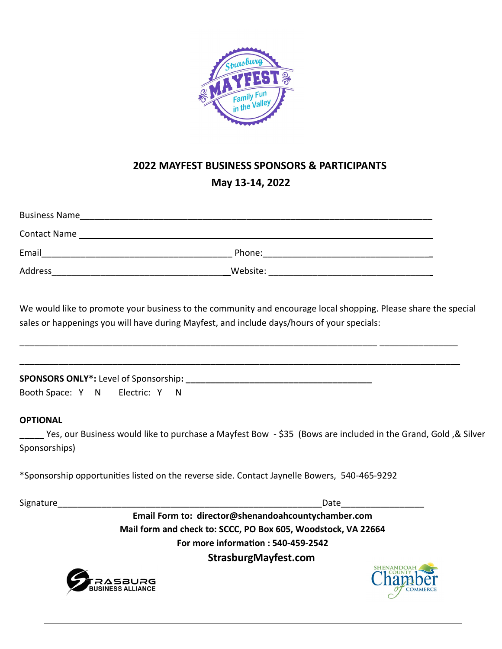

### **2022 MAYFEST BUSINESS SPONSORS & PARTICIPANTS May 13-14, 2022**

| <b>Business Name</b> |          |
|----------------------|----------|
| <b>Contact Name</b>  |          |
| Email                | Phone:   |
| Address              | Website: |

We would like to promote your business to the community and encourage local shopping. Please share the special sales or happenings you will have during Mayfest, and include days/hours of your specials:

\_\_\_\_\_\_\_\_\_\_\_\_\_\_\_\_\_\_\_\_\_\_\_\_\_\_\_\_\_\_\_\_\_\_\_\_\_\_\_\_\_\_\_\_\_\_\_\_\_\_\_\_\_\_\_\_\_\_\_\_\_\_\_\_\_\_\_\_\_\_\_\_\_ \_\_\_\_\_\_\_\_\_\_\_\_\_\_\_\_

\_\_\_\_\_\_\_\_\_\_\_\_\_\_\_\_\_\_\_\_\_\_\_\_\_\_\_\_\_\_\_\_\_\_\_\_\_\_\_\_\_\_\_\_\_\_\_\_\_\_\_\_\_\_\_\_\_\_\_\_\_\_\_\_\_\_\_\_\_\_\_\_\_\_\_\_\_\_\_\_\_\_\_\_\_\_\_\_\_\_

| <b>SPONSORS ONLY*: Level of Sponsorship:</b> |  |  |  |
|----------------------------------------------|--|--|--|
| Booth Space: Y N Electric: Y N               |  |  |  |

#### **OPTIONAL**

Yes, our Business would like to purchase a Mayfest Bow - \$35 (Bows are included in the Grand, Gold ,& Silver Sponsorships)

\*Sponsorship opportunities listed on the reverse side. Contact Jaynelle Bowers, 540-465-9292

Signature\_\_\_\_\_\_\_\_\_\_\_\_\_\_\_\_\_\_\_\_\_\_\_\_\_\_\_\_\_\_\_\_\_\_\_\_\_\_\_\_\_\_\_\_\_\_\_\_\_\_\_\_\_\_Date\_\_\_\_\_\_\_\_\_\_\_\_\_\_\_\_\_ **Email Form to: director@shenandoahcountychamber.com Mail form and check to: SCCC, PO Box 605, Woodstock, VA 22664 For more information : 540-459-2542** 

 **StrasburgMayfest.com**